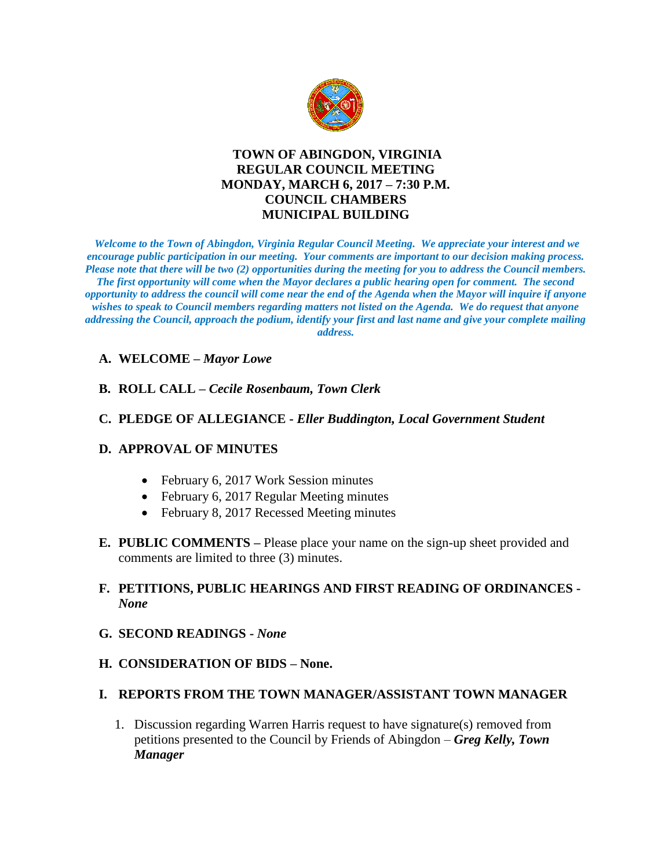

# **TOWN OF ABINGDON, VIRGINIA REGULAR COUNCIL MEETING MONDAY, MARCH 6, 2017 – 7:30 P.M. COUNCIL CHAMBERS MUNICIPAL BUILDING**

*Welcome to the Town of Abingdon, Virginia Regular Council Meeting. We appreciate your interest and we encourage public participation in our meeting. Your comments are important to our decision making process. Please note that there will be two (2) opportunities during the meeting for you to address the Council members. The first opportunity will come when the Mayor declares a public hearing open for comment. The second opportunity to address the council will come near the end of the Agenda when the Mayor will inquire if anyone wishes to speak to Council members regarding matters not listed on the Agenda. We do request that anyone addressing the Council, approach the podium, identify your first and last name and give your complete mailing address.* 

## **A. WELCOME –** *Mayor Lowe*

## **B. ROLL CALL –** *Cecile Rosenbaum, Town Clerk*

#### **C. PLEDGE OF ALLEGIANCE -** *Eller Buddington, Local Government Student*

#### **D. APPROVAL OF MINUTES**

- February 6, 2017 Work Session minutes
- February 6, 2017 Regular Meeting minutes
- February 8, 2017 Recessed Meeting minutes
- **E. PUBLIC COMMENTS –** Please place your name on the sign-up sheet provided and comments are limited to three (3) minutes.

# **F. PETITIONS, PUBLIC HEARINGS AND FIRST READING OF ORDINANCES -** *None*

- **G. SECOND READINGS -** *None*
- **H. CONSIDERATION OF BIDS – None.**

#### **I. REPORTS FROM THE TOWN MANAGER/ASSISTANT TOWN MANAGER**

1. Discussion regarding Warren Harris request to have signature(s) removed from petitions presented to the Council by Friends of Abingdon – *Greg Kelly, Town Manager*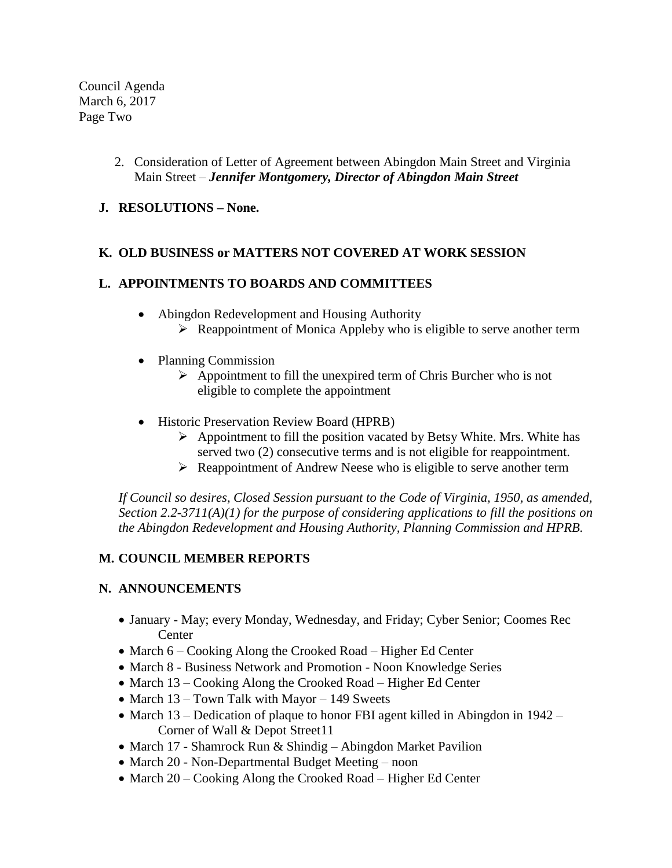Council Agenda March 6, 2017 Page Two

- 2. Consideration of Letter of Agreement between Abingdon Main Street and Virginia Main Street – *Jennifer Montgomery, Director of Abingdon Main Street*
- **J. RESOLUTIONS – None.**

## **K. OLD BUSINESS or MATTERS NOT COVERED AT WORK SESSION**

# **L. APPOINTMENTS TO BOARDS AND COMMITTEES**

- Abingdon Redevelopment and Housing Authority  $\triangleright$  Reappointment of Monica Appleby who is eligible to serve another term
- Planning Commission
	- $\triangleright$  Appointment to fill the unexpired term of Chris Burcher who is not eligible to complete the appointment
- Historic Preservation Review Board (HPRB)
	- $\triangleright$  Appointment to fill the position vacated by Betsy White. Mrs. White has served two (2) consecutive terms and is not eligible for reappointment.
	- $\triangleright$  Reappointment of Andrew Neese who is eligible to serve another term

*If Council so desires, Closed Session pursuant to the Code of Virginia, 1950, as amended, Section 2.2-3711(A)(1) for the purpose of considering applications to fill the positions on the Abingdon Redevelopment and Housing Authority, Planning Commission and HPRB.* 

# **M. COUNCIL MEMBER REPORTS**

#### **N. ANNOUNCEMENTS**

- January May; every Monday, Wednesday, and Friday; Cyber Senior; Coomes Rec **Center**
- March 6 Cooking Along the Crooked Road Higher Ed Center
- March 8 Business Network and Promotion Noon Knowledge Series
- March 13 Cooking Along the Crooked Road Higher Ed Center
- March 13 Town Talk with Mayor 149 Sweets
- March 13 Dedication of plaque to honor FBI agent killed in Abingdon in 1942 Corner of Wall & Depot Street11
- March 17 Shamrock Run & Shindig Abingdon Market Pavilion
- March 20 Non-Departmental Budget Meeting noon
- March 20 Cooking Along the Crooked Road Higher Ed Center